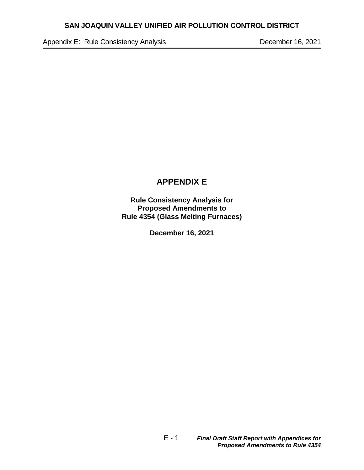Appendix E: Rule Consistency Analysis **December 16, 2021** 

# **APPENDIX E**

**Rule Consistency Analysis for Proposed Amendments to Rule 4354 (Glass Melting Furnaces)** 

**December 16, 2021**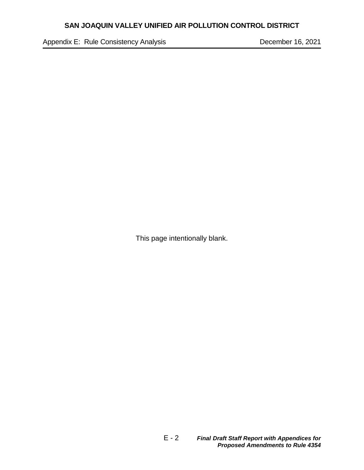Appendix E: Rule Consistency Analysis **December 16, 2021** 

This page intentionally blank.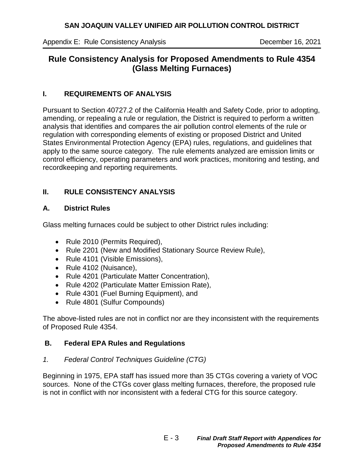## **Rule Consistency Analysis for Proposed Amendments to Rule 4354 (Glass Melting Furnaces)**

## **I. REQUIREMENTS OF ANALYSIS**

Pursuant to Section 40727.2 of the California Health and Safety Code, prior to adopting, amending, or repealing a rule or regulation, the District is required to perform a written analysis that identifies and compares the air pollution control elements of the rule or regulation with corresponding elements of existing or proposed District and United States Environmental Protection Agency (EPA) rules, regulations, and guidelines that apply to the same source category. The rule elements analyzed are emission limits or control efficiency, operating parameters and work practices, monitoring and testing, and recordkeeping and reporting requirements.

## **II. RULE CONSISTENCY ANALYSIS**

## **A. District Rules**

Glass melting furnaces could be subject to other District rules including:

- Rule 2010 (Permits Required),
- Rule 2201 (New and Modified Stationary Source Review Rule),
- Rule 4101 (Visible Emissions),
- Rule 4102 (Nuisance),
- Rule 4201 (Particulate Matter Concentration),
- Rule 4202 (Particulate Matter Emission Rate),
- Rule 4301 (Fuel Burning Equipment), and
- Rule 4801 (Sulfur Compounds)

The above-listed rules are not in conflict nor are they inconsistent with the requirements of Proposed Rule 4354.

#### **B. Federal EPA Rules and Regulations**

*1. Federal Control Techniques Guideline (CTG)*

Beginning in 1975, EPA staff has issued more than 35 CTGs covering a variety of VOC sources. None of the CTGs cover glass melting furnaces, therefore, the proposed rule is not in conflict with nor inconsistent with a federal CTG for this source category.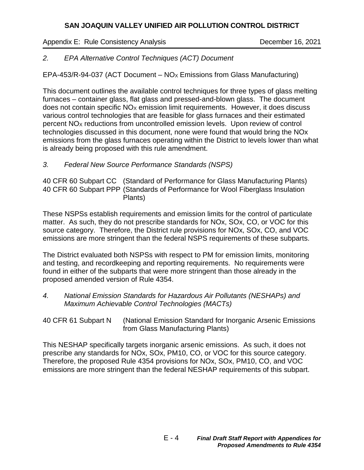Appendix E: Rule Consistency Analysis **December 16, 2021** 

## *2. EPA Alternative Control Techniques (ACT) Document*

EPA-453/R-94-037 (ACT Document –  $N_{\text{Ox}}$  Emissions from Glass Manufacturing)

This document outlines the available control techniques for three types of glass melting furnaces – container glass, flat glass and pressed-and-blown glass. The document does not contain specific  $NO<sub>X</sub>$  emission limit requirements. However, it does discuss various control technologies that are feasible for glass furnaces and their estimated percent  $NO<sub>X</sub>$  reductions from uncontrolled emission levels. Upon review of control technologies discussed in this document, none were found that would bring the NOx emissions from the glass furnaces operating within the District to levels lower than what is already being proposed with this rule amendment.

*3. Federal New Source Performance Standards (NSPS)*

40 CFR 60 Subpart CC (Standard of Performance for Glass Manufacturing Plants) 40 CFR 60 Subpart PPP (Standards of Performance for Wool Fiberglass Insulation Plants)

These NSPSs establish requirements and emission limits for the control of particulate matter. As such, they do not prescribe standards for NOx, SOx, CO, or VOC for this source category. Therefore, the District rule provisions for NOx, SOx, CO, and VOC emissions are more stringent than the federal NSPS requirements of these subparts.

The District evaluated both NSPSs with respect to PM for emission limits, monitoring and testing, and recordkeeping and reporting requirements. No requirements were found in either of the subparts that were more stringent than those already in the proposed amended version of Rule 4354.

- *4. National Emission Standards for Hazardous Air Pollutants (NESHAPs) and Maximum Achievable Control Technologies (MACTs)*
- 40 CFR 61 Subpart N (National Emission Standard for Inorganic Arsenic Emissions from Glass Manufacturing Plants)

This NESHAP specifically targets inorganic arsenic emissions. As such, it does not prescribe any standards for NOx, SOx, PM10, CO, or VOC for this source category. Therefore, the proposed Rule 4354 provisions for NOx, SOx, PM10, CO, and VOC emissions are more stringent than the federal NESHAP requirements of this subpart.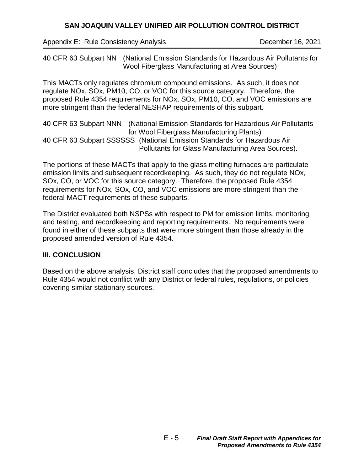Appendix E: Rule Consistency Analysis **December 16, 2021** 

40 CFR 63 Subpart NN (National Emission Standards for Hazardous Air Pollutants for Wool Fiberglass Manufacturing at Area Sources)

This MACTs only regulates chromium compound emissions. As such, it does not regulate NOx, SOx, PM10, CO, or VOC for this source category. Therefore, the proposed Rule 4354 requirements for NOx, SOx, PM10, CO, and VOC emissions are more stringent than the federal NESHAP requirements of this subpart.

40 CFR 63 Subpart NNN (National Emission Standards for Hazardous Air Pollutants for Wool Fiberglass Manufacturing Plants) 40 CFR 63 Subpart SSSSSS (National Emission Standards for Hazardous Air Pollutants for Glass Manufacturing Area Sources).

The portions of these MACTs that apply to the glass melting furnaces are particulate emission limits and subsequent recordkeeping. As such, they do not regulate NOx, SOx, CO, or VOC for this source category. Therefore, the proposed Rule 4354 requirements for NOx, SOx, CO, and VOC emissions are more stringent than the federal MACT requirements of these subparts.

The District evaluated both NSPSs with respect to PM for emission limits, monitoring and testing, and recordkeeping and reporting requirements. No requirements were found in either of these subparts that were more stringent than those already in the proposed amended version of Rule 4354.

#### **III. CONCLUSION**

Based on the above analysis, District staff concludes that the proposed amendments to Rule 4354 would not conflict with any District or federal rules, regulations, or policies covering similar stationary sources.